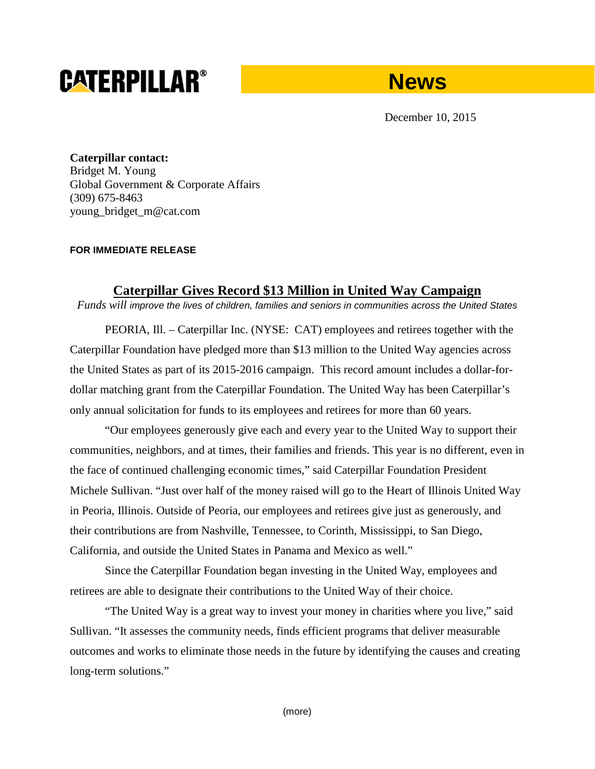# **CATERPILLAR®**



December 10, 2015

**Caterpillar contact:** Bridget M. Young Global Government & Corporate Affairs (309) 675-8463 young\_bridget\_m@cat.com

#### **FOR IMMEDIATE RELEASE**

## **Caterpillar Gives Record \$13 Million in United Way Campaign**

*Funds will improve the lives of children, families and seniors in communities across the United States*

PEORIA, Ill. – Caterpillar Inc. (NYSE: CAT) employees and retirees together with the Caterpillar Foundation have pledged more than \$13 million to the United Way agencies across the United States as part of its 2015-2016 campaign. This record amount includes a dollar-fordollar matching grant from the Caterpillar Foundation. The United Way has been Caterpillar's only annual solicitation for funds to its employees and retirees for more than 60 years.

"Our employees generously give each and every year to the United Way to support their communities, neighbors, and at times, their families and friends. This year is no different, even in the face of continued challenging economic times," said Caterpillar Foundation President Michele Sullivan. "Just over half of the money raised will go to the Heart of Illinois United Way in Peoria, Illinois. Outside of Peoria, our employees and retirees give just as generously, and their contributions are from Nashville, Tennessee, to Corinth, Mississippi, to San Diego, California, and outside the United States in Panama and Mexico as well."

Since the Caterpillar Foundation began investing in the United Way, employees and retirees are able to designate their contributions to the United Way of their choice.

"The United Way is a great way to invest your money in charities where you live," said Sullivan. "It assesses the community needs, finds efficient programs that deliver measurable outcomes and works to eliminate those needs in the future by identifying the causes and creating long-term solutions."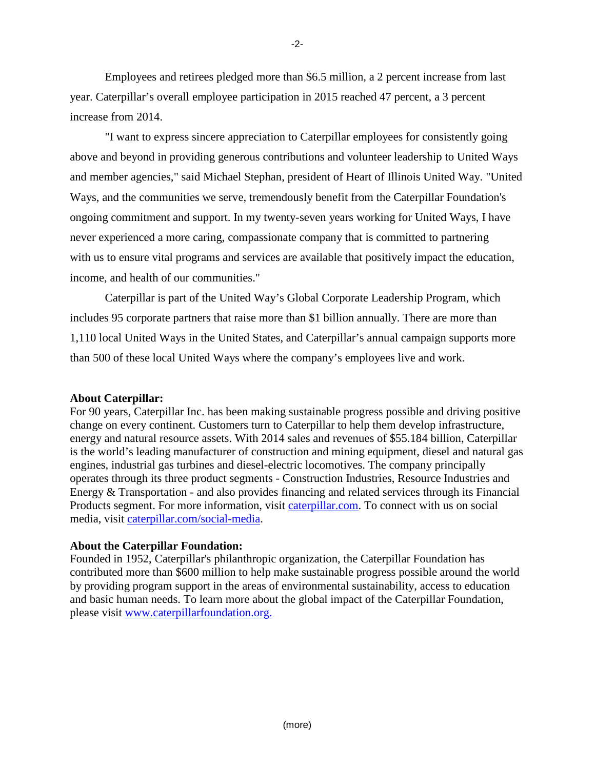Employees and retirees pledged more than \$6.5 million, a 2 percent increase from last year. Caterpillar's overall employee participation in 2015 reached 47 percent, a 3 percent increase from 2014.

"I want to express sincere appreciation to Caterpillar employees for consistently going above and beyond in providing generous contributions and volunteer leadership to United Ways and member agencies," said Michael Stephan, president of Heart of Illinois United Way. "United Ways, and the communities we serve, tremendously benefit from the Caterpillar Foundation's ongoing commitment and support. In my twenty-seven years working for United Ways, I have never experienced a more caring, compassionate company that is committed to partnering with us to ensure vital programs and services are available that positively impact the education, income, and health of our communities."

Caterpillar is part of the United Way's Global Corporate Leadership Program, which includes 95 corporate partners that raise more than \$1 billion annually. There are more than 1,110 local United Ways in the United States, and Caterpillar's annual campaign supports more than 500 of these local United Ways where the company's employees live and work.

### **About Caterpillar:**

For 90 years, Caterpillar Inc. has been making sustainable progress possible and driving positive change on every continent. Customers turn to Caterpillar to help them develop infrastructure, energy and natural resource assets. With 2014 sales and revenues of \$55.184 billion, Caterpillar is the world's leading manufacturer of construction and mining equipment, diesel and natural gas engines, industrial gas turbines and diesel-electric locomotives. The company principally operates through its three product segments - Construction Industries, Resource Industries and Energy & Transportation - and also provides financing and related services through its Financial Products segment. For more information, visit [caterpillar.com.](http://www.caterpillar.com/en.html) To connect with us on social media, visit [caterpillar.com/social-media.](http://www.caterpillar.com/en/news/social-media.html)

### **About the Caterpillar Foundation:**

Founded in 1952, Caterpillar's philanthropic organization, the Caterpillar Foundation has contributed more than \$600 million to help make sustainable progress possible around the world by providing program support in the areas of environmental sustainability, access to education and basic human needs. To learn more about the global impact of the Caterpillar Foundation, please visit www.caterpillarfoundation.org.